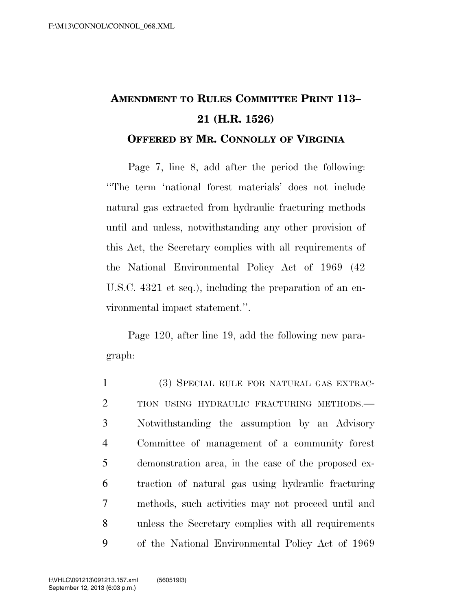## **AMENDMENT TO RULES COMMITTEE PRINT 113– 21 (H.R. 1526) OFFERED BY MR. CONNOLLY OF VIRGINIA**

Page 7, line 8, add after the period the following: ''The term 'national forest materials' does not include natural gas extracted from hydraulic fracturing methods until and unless, notwithstanding any other provision of this Act, the Secretary complies with all requirements of the National Environmental Policy Act of 1969 (42 U.S.C. 4321 et seq.), including the preparation of an environmental impact statement.''.

Page 120, after line 19, add the following new paragraph:

 (3) SPECIAL RULE FOR NATURAL GAS EXTRAC-2 TION USING HYDRAULIC FRACTURING METHODS. Notwithstanding the assumption by an Advisory Committee of management of a community forest demonstration area, in the case of the proposed ex- traction of natural gas using hydraulic fracturing methods, such activities may not proceed until and unless the Secretary complies with all requirements of the National Environmental Policy Act of 1969